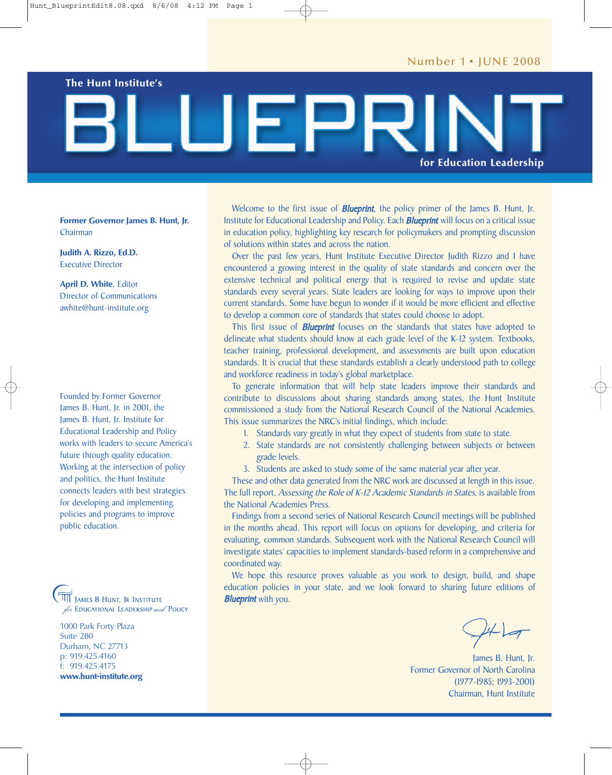**The Hunt Institute's**

# **for Education Leadership**

**Former Governor James B. Hunt, Jr.** Chairman

**Judith A. Rizzo, Ed.D.** Executive Director

**April D. White**, Editor Director of Communications awhite@hunt-institute.org

Founded by Former Governor James B. Hunt, Jr. in 2001, the James B. Hunt, Jr. Institute for Educational Leadership and Policy works with leaders to secure America's future through quality education. Working at the intersection of policy and politics, the Hunt Institute connects leaders with best strategies for developing and implementing policies and programs to improve public education.

JAMES B HUNT, JR INSTITUTE for EDUCATIONAL LEADERSHIP and POLICY

1000 Park Forty Plaza Suite 280 Durham, NC 27713 p: 919.425.4160 f: 919.425.4175 **www.hunt-institute.org**

Welcome to the first issue of **Blueprint**, the policy primer of the James B. Hunt, Jr. Institute for Educational Leadership and Policy. Each **Blueprint** will focus on a critical issue in education policy, highlighting key research for policymakers and prompting discussion of solutions within states and across the nation.

Over the past few years, Hunt Institute Executive Director Judith Rizzo and I have encountered a growing interest in the quality of state standards and concern over the extensive technical and political energy that is required to revise and update state standards every several years. State leaders are looking for ways to improve upon their current standards. Some have begun to wonder if it would be more efficient and effective to develop a common core of standards that states could choose to adopt.

This first issue of **Blueprint** focuses on the standards that states have adopted to delineate what students should know at each grade level of the K-12 system. Textbooks, teacher training, professional development, and assessments are built upon education standards. It is crucial that these standards establish a clearly understood path to college and workforce readiness in today's global marketplace.

To generate information that will help state leaders improve their standards and contribute to discussions about sharing standards among states, the Hunt Institute commissioned a study from the National Research Council of the National Academies. This issue summarizes the NRC's initial findings, which include:

- 1. Standards vary greatly in what they expect of students from state to state.
- 2. State standards are not consistently challenging between subjects or between grade levels.
- 3. Students are asked to study some of the same material year after year.

These and other data generated from the NRC work are discussed at length in this issue. The full report, Assessing the Role of K-12 Academic Standards in States, is available from the National Academies Press.

Findings from a second series of National Research Council meetings will be published in the months ahead. This report will focus on options for developing, and criteria for evaluating, common standards. Subsequent work with the National Research Council will investigate states' capacities to implement standards-based reform in a comprehensive and coordinated way.

We hope this resource proves valuable as you work to design, build, and shape education policies in your state, and we look forward to sharing future editions of **Blueprint** with you.

James B. Hunt, Jr. Former Governor of North Carolina (1977-1985; 1993-2001) Chairman, Hunt Institute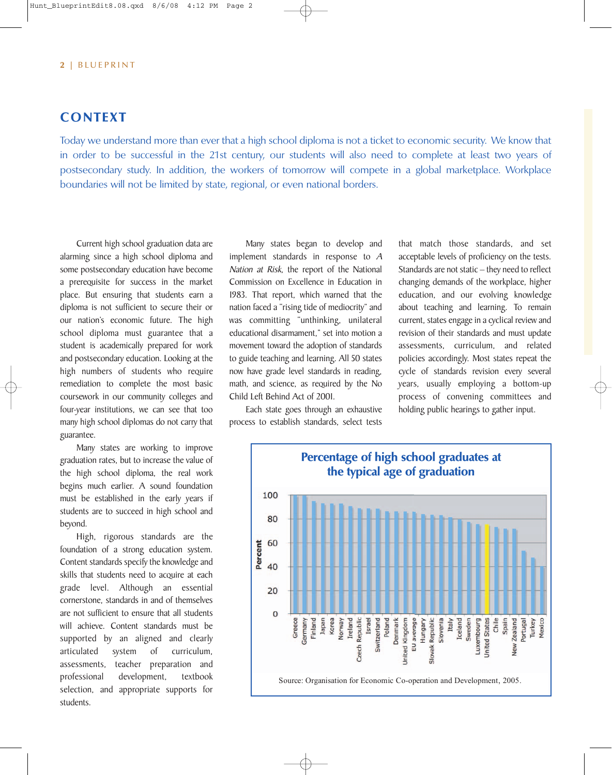# **CONTEXT**

Today we understand more than ever that a high school diploma is not a ticket to economic security. We know that in order to be successful in the 21st century, our students will also need to complete at least two years of postsecondary study. In addition, the workers of tomorrow will compete in a global marketplace. Workplace boundaries will not be limited by state, regional, or even national borders.

Current high school graduation data are alarming since a high school diploma and some postsecondary education have become a prerequisite for success in the market place. But ensuring that students earn a diploma is not sufficient to secure their or our nation's economic future. The high school diploma must guarantee that a student is academically prepared for work and postsecondary education. Looking at the high numbers of students who require remediation to complete the most basic coursework in our community colleges and four-year institutions, we can see that too many high school diplomas do not carry that guarantee.

Many states are working to improve graduation rates, but to increase the value of the high school diploma, the real work begins much earlier. A sound foundation must be established in the early years if students are to succeed in high school and beyond.

High, rigorous standards are the foundation of a strong education system. Content standards specify the knowledge and skills that students need to acquire at each grade level. Although an essential cornerstone, standards in and of themselves are not sufficient to ensure that all students will achieve. Content standards must be supported by an aligned and clearly articulated system of curriculum, assessments, teacher preparation and professional development, textbook selection, and appropriate supports for students.

Many states began to develop and implement standards in response to <sup>A</sup> Nation at Risk, the report of the National Commission on Excellence in Education in 1983. That report, which warned that the nation faced a "rising tide of mediocrity'' and was committing "unthinking, unilateral educational disarmament,'' set into motion a movement toward the adoption of standards to guide teaching and learning. All 50 states now have grade level standards in reading, math, and science, as required by the No Child Left Behind Act of 2001.

Each state goes through an exhaustive process to establish standards, select tests

that match those standards, and set acceptable levels of proficiency on the tests. Standards are not static – they need to reflect changing demands of the workplace, higher education, and our evolving knowledge about teaching and learning. To remain current, states engage in a cyclical review and revision of their standards and must update assessments, curriculum, and related policies accordingly. Most states repeat the cycle of standards revision every several years, usually employing a bottom-up process of convening committees and holding public hearings to gather input.

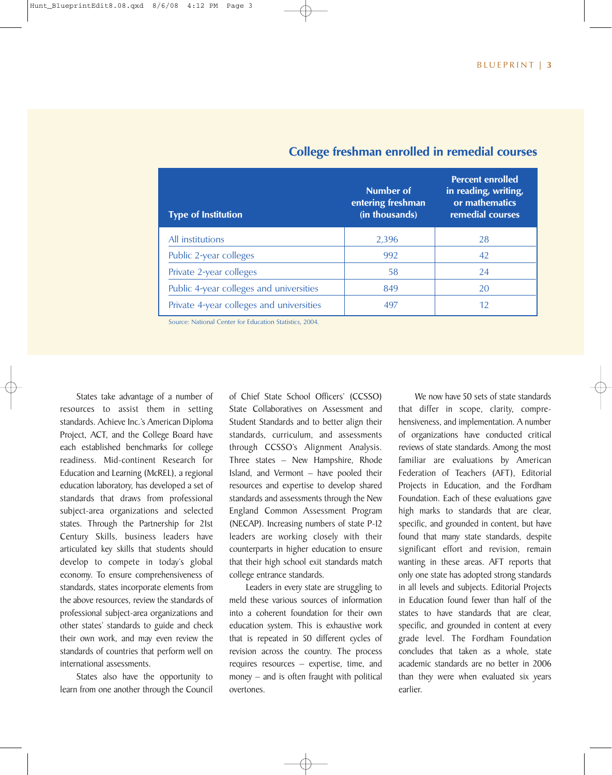| <b>Type of Institution</b>               | Number of<br>entering freshman<br>(in thousands) | <b>Percent enrolled</b><br>in reading, writing,<br>or mathematics<br>remedial courses |
|------------------------------------------|--------------------------------------------------|---------------------------------------------------------------------------------------|
| All institutions                         | 2,396                                            | 28                                                                                    |
| Public 2-year colleges                   | 992                                              | 42                                                                                    |
| Private 2-year colleges                  | 58                                               | 24                                                                                    |
| Public 4-year colleges and universities  | 849                                              | 20                                                                                    |
| Private 4-year colleges and universities | 497                                              | 12                                                                                    |

### **College freshman enrolled in remedial courses**

Source: National Center for Education Statistics, 2004.

States take advantage of a number of resources to assist them in setting standards. Achieve Inc.'s American Diploma Project, ACT, and the College Board have each established benchmarks for college readiness. Mid-continent Research for Education and Learning (McREL), a regional education laboratory, has developed a set of standards that draws from professional subject-area organizations and selected states. Through the Partnership for 21st Century Skills, business leaders have articulated key skills that students should develop to compete in today's global economy. To ensure comprehensiveness of standards, states incorporate elements from the above resources, review the standards of professional subject-area organizations and other states' standards to guide and check their own work, and may even review the standards of countries that perform well on international assessments.

States also have the opportunity to learn from one another through the Council

of Chief State School Officers' (CCSSO) State Collaboratives on Assessment and Student Standards and to better align their standards, curriculum, and assessments through CCSSO's Alignment Analysis. Three states – New Hampshire, Rhode Island, and Vermont – have pooled their resources and expertise to develop shared standards and assessments through the New England Common Assessment Program (NECAP). Increasing numbers of state P-12 leaders are working closely with their counterparts in higher education to ensure that their high school exit standards match college entrance standards.

Leaders in every state are struggling to meld these various sources of information into a coherent foundation for their own education system. This is exhaustive work that is repeated in 50 different cycles of revision across the country. The process requires resources – expertise, time, and money – and is often fraught with political overtones.

We now have 50 sets of state standards that differ in scope, clarity, comprehensiveness, and implementation. A number of organizations have conducted critical reviews of state standards. Among the most familiar are evaluations by American Federation of Teachers (AFT), Editorial Projects in Education, and the Fordham Foundation. Each of these evaluations gave high marks to standards that are clear, specific, and grounded in content, but have found that many state standards, despite significant effort and revision, remain wanting in these areas. AFT reports that only one state has adopted strong standards in all levels and subjects. Editorial Projects in Education found fewer than half of the states to have standards that are clear, specific, and grounded in content at every grade level. The Fordham Foundation concludes that taken as a whole, state academic standards are no better in 2006 than they were when evaluated six years earlier.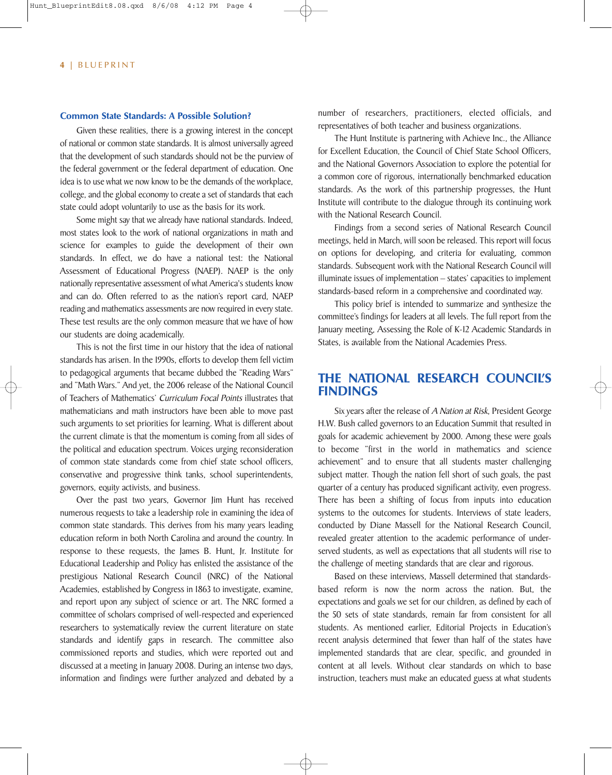#### **Common State Standards: A Possible Solution?**

Given these realities, there is a growing interest in the concept of national or common state standards. It is almost universally agreed that the development of such standards should not be the purview of the federal government or the federal department of education. One idea is to use what we now know to be the demands of the workplace, college, and the global economy to create a set of standards that each state could adopt voluntarily to use as the basis for its work.

Some might say that we already have national standards. Indeed, most states look to the work of national organizations in math and science for examples to guide the development of their own standards. In effect, we do have a national test: the National Assessment of Educational Progress (NAEP). NAEP is the only nationally representative assessment of what America's students know and can do. Often referred to as the nation's report card, NAEP reading and mathematics assessments are now required in every state. These test results are the only common measure that we have of how our students are doing academically.

This is not the first time in our history that the idea of national standards has arisen. In the 1990s, efforts to develop them fell victim to pedagogical arguments that became dubbed the "Reading Wars" and "Math Wars." And yet, the 2006 release of the National Council of Teachers of Mathematics' Curriculum Focal Points illustrates that mathematicians and math instructors have been able to move past such arguments to set priorities for learning. What is different about the current climate is that the momentum is coming from all sides of the political and education spectrum. Voices urging reconsideration of common state standards come from chief state school officers, conservative and progressive think tanks, school superintendents, governors, equity activists, and business.

Over the past two years, Governor Jim Hunt has received numerous requests to take a leadership role in examining the idea of common state standards. This derives from his many years leading education reform in both North Carolina and around the country. In response to these requests, the James B. Hunt, Jr. Institute for Educational Leadership and Policy has enlisted the assistance of the prestigious National Research Council (NRC) of the National Academies, established by Congress in 1863 to investigate, examine, and report upon any subject of science or art. The NRC formed a committee of scholars comprised of well-respected and experienced researchers to systematically review the current literature on state standards and identify gaps in research. The committee also commissioned reports and studies, which were reported out and discussed at a meeting in January 2008. During an intense two days, information and findings were further analyzed and debated by a number of researchers, practitioners, elected officials, and representatives of both teacher and business organizations.

The Hunt Institute is partnering with Achieve Inc., the Alliance for Excellent Education, the Council of Chief State School Officers, and the National Governors Association to explore the potential for a common core of rigorous, internationally benchmarked education standards. As the work of this partnership progresses, the Hunt Institute will contribute to the dialogue through its continuing work with the National Research Council.

Findings from a second series of National Research Council meetings, held in March, will soon be released. This report will focus on options for developing, and criteria for evaluating, common standards. Subsequent work with the National Research Council will illuminate issues of implementation – states' capacities to implement standards-based reform in a comprehensive and coordinated way.

This policy brief is intended to summarize and synthesize the committee's findings for leaders at all levels. The full report from the January meeting, Assessing the Role of K-12 Academic Standards in States, is available from the National Academies Press.

## **THE NATIONAL RESEARCH COUNCIL'S FINDINGS**

Six years after the release of A Nation at Risk, President George H.W. Bush called governors to an Education Summit that resulted in goals for academic achievement by 2000. Among these were goals to become "first in the world in mathematics and science achievement" and to ensure that all students master challenging subject matter. Though the nation fell short of such goals, the past quarter of a century has produced significant activity, even progress. There has been a shifting of focus from inputs into education systems to the outcomes for students. Interviews of state leaders, conducted by Diane Massell for the National Research Council, revealed greater attention to the academic performance of underserved students, as well as expectations that all students will rise to the challenge of meeting standards that are clear and rigorous.

Based on these interviews, Massell determined that standardsbased reform is now the norm across the nation. But, the expectations and goals we set for our children, as defined by each of the 50 sets of state standards, remain far from consistent for all students. As mentioned earlier, Editorial Projects in Education's recent analysis determined that fewer than half of the states have implemented standards that are clear, specific, and grounded in content at all levels. Without clear standards on which to base instruction, teachers must make an educated guess at what students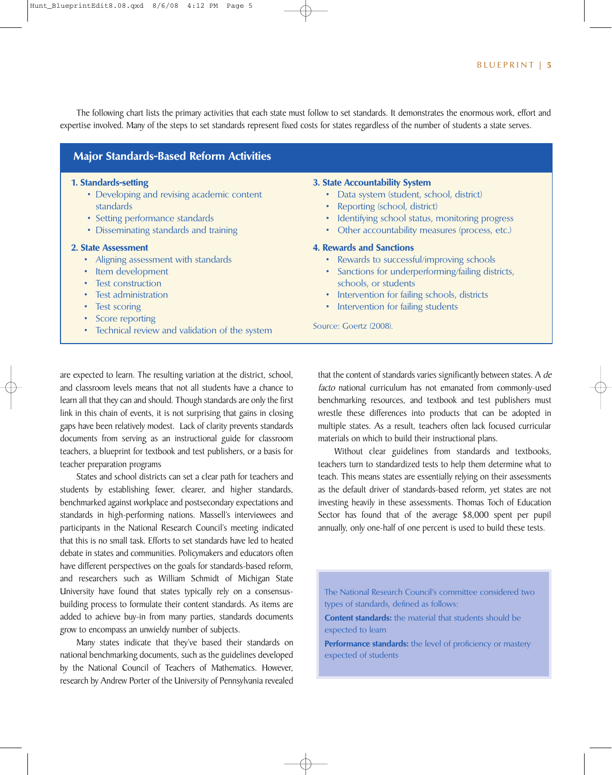The following chart lists the primary activities that each state must follow to set standards. It demonstrates the enormous work, effort and expertise involved. Many of the steps to set standards represent fixed costs for states regardless of the number of students a state serves.

| 1. Standards-setting<br>• Developing and revising academic content<br>standards<br>• Setting performance standards<br>• Disseminating standards and training                                                                                                                             | 3. State Accountability System<br>• Data system (student, school, district)<br>• Reporting (school, district)<br>Identifying school status, monitoring progress<br>٠<br>Other accountability measures (process, etc.)<br>٠                                                                 |  |
|------------------------------------------------------------------------------------------------------------------------------------------------------------------------------------------------------------------------------------------------------------------------------------------|--------------------------------------------------------------------------------------------------------------------------------------------------------------------------------------------------------------------------------------------------------------------------------------------|--|
| 2. State Assessment<br>• Aligning assessment with standards<br>Item development<br>$\bullet$<br><b>Test construction</b><br>$\bullet$<br>Test administration<br>$\bullet$<br><b>Test scoring</b><br>$\bullet$<br>Score reporting<br>٠<br>• Technical review and validation of the system | <b>4. Rewards and Sanctions</b><br>• Rewards to successful/improving schools<br>Sanctions for underperforming/failing districts,<br>$\bullet$<br>schools, or students<br>• Intervention for failing schools, districts<br>Intervention for failing students<br>٠<br>Source: Goertz (2008). |  |

are expected to learn. The resulting variation at the district, school, and classroom levels means that not all students have a chance to learn all that they can and should. Though standards are only the first link in this chain of events, it is not surprising that gains in closing gaps have been relatively modest. Lack of clarity prevents standards documents from serving as an instructional guide for classroom teachers, a blueprint for textbook and test publishers, or a basis for teacher preparation programs

States and school districts can set a clear path for teachers and students by establishing fewer, clearer, and higher standards, benchmarked against workplace and postsecondary expectations and standards in high-performing nations. Massell's interviewees and participants in the National Research Council's meeting indicated that this is no small task. Efforts to set standards have led to heated debate in states and communities. Policymakers and educators often have different perspectives on the goals for standards-based reform, and researchers such as William Schmidt of Michigan State University have found that states typically rely on a consensusbuilding process to formulate their content standards. As items are added to achieve buy-in from many parties, standards documents grow to encompass an unwieldy number of subjects.

Many states indicate that they've based their standards on national benchmarking documents, such as the guidelines developed by the National Council of Teachers of Mathematics. However, research by Andrew Porter of the University of Pennsylvania revealed

that the content of standards varies significantly between states. A de facto national curriculum has not emanated from commonly-used benchmarking resources, and textbook and test publishers must wrestle these differences into products that can be adopted in multiple states. As a result, teachers often lack focused curricular materials on which to build their instructional plans.

Without clear guidelines from standards and textbooks, teachers turn to standardized tests to help them determine what to teach. This means states are essentially relying on their assessments as the default driver of standards-based reform, yet states are not investing heavily in these assessments. Thomas Toch of Education Sector has found that of the average \$8,000 spent per pupil annually, only one-half of one percent is used to build these tests.

The National Research Council's committee considered two types of standards, defined as follows:

**Content standards:** the material that students should be expected to learn

**Performance standards:** the level of proficiency or mastery expected of students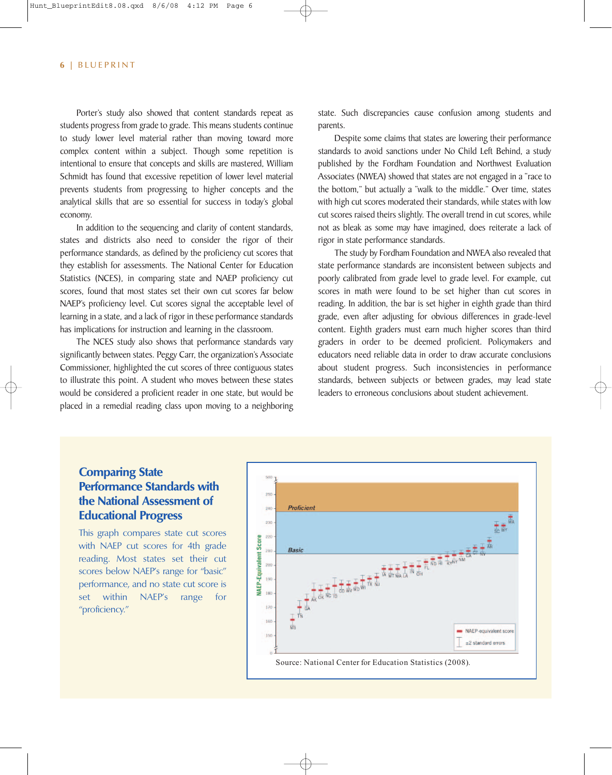Porter's study also showed that content standards repeat as students progress from grade to grade. This means students continue to study lower level material rather than moving toward more complex content within a subject. Though some repetition is intentional to ensure that concepts and skills are mastered, William Schmidt has found that excessive repetition of lower level material prevents students from progressing to higher concepts and the analytical skills that are so essential for success in today's global economy.

In addition to the sequencing and clarity of content standards, states and districts also need to consider the rigor of their performance standards, as defined by the proficiency cut scores that they establish for assessments. The National Center for Education Statistics (NCES), in comparing state and NAEP proficiency cut scores, found that most states set their own cut scores far below NAEP's proficiency level. Cut scores signal the acceptable level of learning in a state, and a lack of rigor in these performance standards has implications for instruction and learning in the classroom.

The NCES study also shows that performance standards vary significantly between states. Peggy Carr, the organization's Associate Commissioner, highlighted the cut scores of three contiguous states to illustrate this point. A student who moves between these states would be considered a proficient reader in one state, but would be placed in a remedial reading class upon moving to a neighboring state. Such discrepancies cause confusion among students and parents.

Despite some claims that states are lowering their performance standards to avoid sanctions under No Child Left Behind, a study published by the Fordham Foundation and Northwest Evaluation Associates (NWEA) showed that states are not engaged in a "race to the bottom," but actually a "walk to the middle." Over time, states with high cut scores moderated their standards, while states with low cut scores raised theirs slightly. The overall trend in cut scores, while not as bleak as some may have imagined, does reiterate a lack of rigor in state performance standards.

The study by Fordham Foundation and NWEA also revealed that state performance standards are inconsistent between subjects and poorly calibrated from grade level to grade level. For example, cut scores in math were found to be set higher than cut scores in reading. In addition, the bar is set higher in eighth grade than third grade, even after adjusting for obvious differences in grade-level content. Eighth graders must earn much higher scores than third graders in order to be deemed proficient. Policymakers and educators need reliable data in order to draw accurate conclusions about student progress. Such inconsistencies in performance standards, between subjects or between grades, may lead state leaders to erroneous conclusions about student achievement.

# **Comparing State Performance Standards with the National Assessment of Educational Progress**

This graph compares state cut scores with NAEP cut scores for 4th grade reading. Most states set their cut scores below NAEP's range for "basic" performance, and no state cut score is set within NAEP's range for "proficiency."

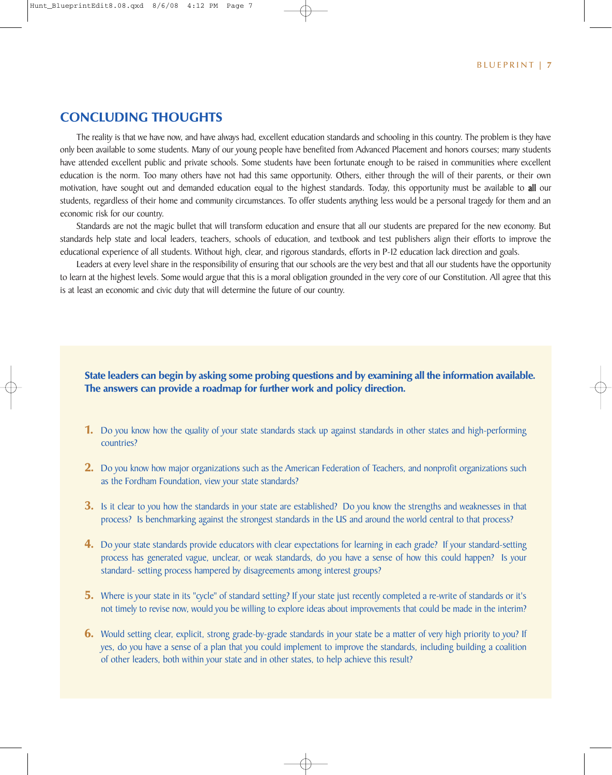## **CONCLUDING THOUGHTS**

The reality is that we have now, and have always had, excellent education standards and schooling in this country. The problem is they have only been available to some students. Many of our young people have benefited from Advanced Placement and honors courses; many students have attended excellent public and private schools. Some students have been fortunate enough to be raised in communities where excellent education is the norm. Too many others have not had this same opportunity. Others, either through the will of their parents, or their own motivation, have sought out and demanded education equal to the highest standards. Today, this opportunity must be available to all our students, regardless of their home and community circumstances. To offer students anything less would be a personal tragedy for them and an economic risk for our country.

Standards are not the magic bullet that will transform education and ensure that all our students are prepared for the new economy. But standards help state and local leaders, teachers, schools of education, and textbook and test publishers align their efforts to improve the educational experience of all students. Without high, clear, and rigorous standards, efforts in P-12 education lack direction and goals.

Leaders at every level share in the responsibility of ensuring that our schools are the very best and that all our students have the opportunity to learn at the highest levels. Some would argue that this is a moral obligation grounded in the very core of our Constitution. All agree that this is at least an economic and civic duty that will determine the future of our country.

#### **State leaders can begin by asking some probing questions and by examining all the information available. The answers can provide a roadmap for further work and policy direction.**

- **1.** Do you know how the quality of your state standards stack up against standards in other states and high-performing countries?
- **2.** Do you know how major organizations such as the American Federation of Teachers, and nonprofit organizations such as the Fordham Foundation, view your state standards?
- **3.** Is it clear to you how the standards in your state are established? Do you know the strengths and weaknesses in that process? Is benchmarking against the strongest standards in the US and around the world central to that process?
- **4.** Do your state standards provide educators with clear expectations for learning in each grade? If your standard-setting process has generated vague, unclear, or weak standards, do you have a sense of how this could happen? Is your standard- setting process hampered by disagreements among interest groups?
- **5.** Where is your state in its "cycle" of standard setting? If your state just recently completed a re-write of standards or it's not timely to revise now, would you be willing to explore ideas about improvements that could be made in the interim?
- **6.** Would setting clear, explicit, strong grade-by-grade standards in your state be a matter of very high priority to you? If yes, do you have a sense of a plan that you could implement to improve the standards, including building a coalition of other leaders, both within your state and in other states, to help achieve this result?